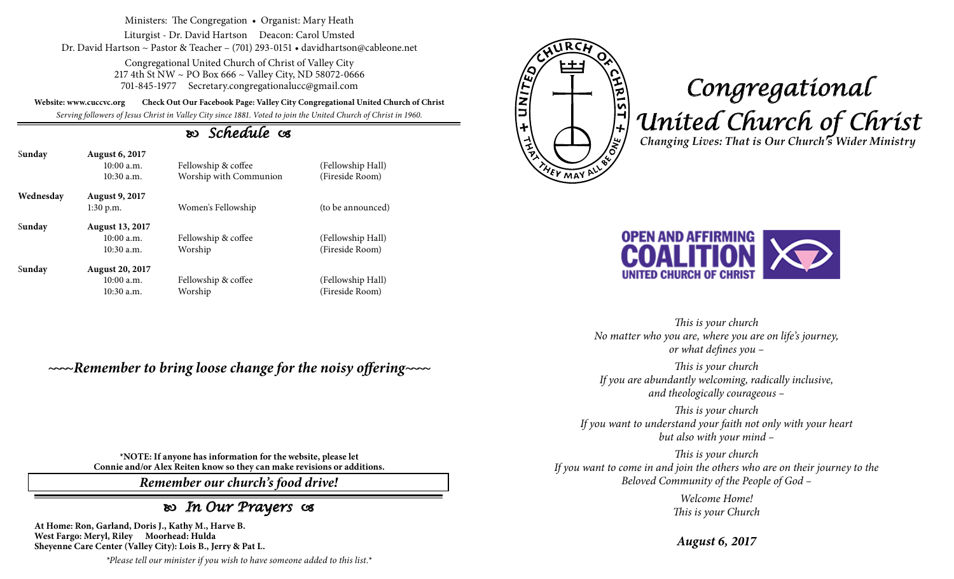Ministers: The Congregation • Organist: Mary Heath

Liturgist - Dr. David Hartson Deacon: Carol Umsted Dr. David Hartson ~ Pastor & Teacher – (701) 293-0151 • davidhartson@cableone.net

> Congregational United Church of Christ of Valley City 217 4th St NW ~ PO Box 666 ~ Valley City, ND 58072-0666 701-845-1977 Secretary.congregationalucc@gmail.com

**Website: www.cuccvc.org Check Out Our Facebook Page: Valley City Congregational United Church of Christ**

*Serving followers of Jesus Christ in Valley City since 1881. Voted to join the United Church of Christ in 1960.*

## *Schedule*

| Sunday    | <b>August 6, 2017</b><br>10:00a.m.<br>$10:30$ a.m.  | Fellowship & coffee<br>Worship with Communion | (Fellowship Hall)<br>(Fireside Room) |
|-----------|-----------------------------------------------------|-----------------------------------------------|--------------------------------------|
| Wednesday | <b>August 9, 2017</b><br>$1:30$ p.m.                | Women's Fellowship                            | (to be announced)                    |
| Sunday    | <b>August 13, 2017</b><br>10:00a.m.<br>$10:30$ a.m. | Fellowship & coffee<br>Worship                | (Fellowship Hall)<br>(Fireside Room) |
| Sunday    | <b>August 20, 2017</b><br>10:00a.m.<br>$10:30$ a.m. | Fellowship & coffee<br>Worship                | (Fellowship Hall)<br>(Fireside Room) |

*~~~~Remember to bring loose change for the noisy offering~~~~*

**\*NOTE: If anyone has information for the website, please let Connie and/or Alex Reiten know so they can make revisions or additions.**

*Remember our church's food drive!*

## *In Our Prayers*

**At Home: Ron, Garland, Doris J., Kathy M., Harve B. West Fargo: Meryl, Riley Moorhead: Hulda Sheyenne Care Center (Valley City): Lois B., Jerry & Pat L.**

*\*Please tell our minister if you wish to have someone added to this list.\**



## *Congregational United Church of Christ Changing Lives: That is Our Church's Wider Ministry*



*This is your church No matter who you are, where you are on life's journey, or what defines you –*

*This is your church If you are abundantly welcoming, radically inclusive, and theologically courageous –*

*This is your church If you want to understand your faith not only with your heart but also with your mind –*

*This is your church If you want to come in and join the others who are on their journey to the Beloved Community of the People of God –*

> *Welcome Home! This is your Church*

*August 6, 2017*